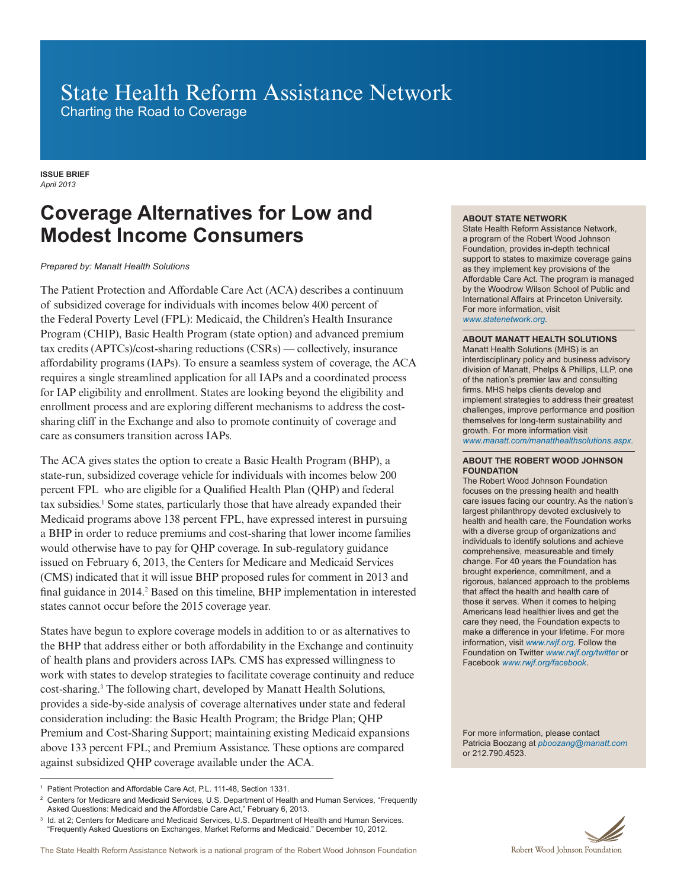# State Health Reform Assistance Network

Charting the Road to Coverage

**ISSUE BRIEF** *April 2013*

## **Coverage Alternatives for Low and Modest Income Consumers**

### *Prepared by: Manatt Health Solutions*

The Patient Protection and Affordable Care Act (ACA) describes a continuum of subsidized coverage for individuals with incomes below 400 percent of the Federal Poverty Level (FPL): Medicaid, the Children's Health Insurance Program (CHIP), Basic Health Program (state option) and advanced premium tax credits (APTCs)/cost-sharing reductions (CSRs) — collectively, insurance affordability programs (IAPs). To ensure a seamless system of coverage, the ACA requires a single streamlined application for all IAPs and a coordinated process for IAP eligibility and enrollment. States are looking beyond the eligibility and enrollment process and are exploring different mechanisms to address the costsharing cliff in the Exchange and also to promote continuity of coverage and care as consumers transition across IAPs.

The ACA gives states the option to create a Basic Health Program (BHP), a state-run, subsidized coverage vehicle for individuals with incomes below 200 percent FPL who are eligible for a Qualified Health Plan (QHP) and federal tax subsidies.1 Some states, particularly those that have already expanded their Medicaid programs above 138 percent FPL, have expressed interest in pursuing a BHP in order to reduce premiums and cost-sharing that lower income families would otherwise have to pay for QHP coverage. In sub-regulatory guidance issued on February 6, 2013, the Centers for Medicare and Medicaid Services (CMS) indicated that it will issue BHP proposed rules for comment in 2013 and final guidance in 2014.<sup>2</sup> Based on this timeline, BHP implementation in interested states cannot occur before the 2015 coverage year.

States have begun to explore coverage models in addition to or as alternatives to the BHP that address either or both affordability in the Exchange and continuity of health plans and providers across IAPs. CMS has expressed willingness to work with states to develop strategies to facilitate coverage continuity and reduce cost-sharing.3 The following chart, developed by Manatt Health Solutions, provides a side-by-side analysis of coverage alternatives under state and federal consideration including: the Basic Health Program; the Bridge Plan; QHP Premium and Cost-Sharing Support; maintaining existing Medicaid expansions above 133 percent FPL; and Premium Assistance. These options are compared against subsidized QHP coverage available under the ACA.

### **ABOUT STATE NETWORK**

State Health Reform Assistance Network, a program of the Robert Wood Johnson Foundation, provides in-depth technical support to states to maximize coverage gains as they implement key provisions of the Affordable Care Act. The program is managed by the Woodrow Wilson School of Public and International Affairs at Princeton University. For more information, visit *www.statenetwork.org.*

#### **ABOUT MANATT HEALTH SOLUTIONS**

Manatt Health Solutions (MHS) is an interdisciplinary policy and business advisory division of Manatt, Phelps & Phillips, LLP, one of the nation's premier law and consulting firms. MHS helps clients develop and implement strategies to address their greatest challenges, improve performance and position themselves for long-term sustainability and growth. For more information visit *www.manatt.com/manatthealthsolutions.aspx.*

#### **ABOUT THE ROBERT WOOD JOHNSON FOUNDATION**

The Robert Wood Johnson Foundation focuses on the pressing health and health care issues facing our country. As the nation's largest philanthropy devoted exclusively to health and health care, the Foundation works with a diverse group of organizations and individuals to identify solutions and achieve comprehensive, measureable and timely change. For 40 years the Foundation has brought experience, commitment, and a rigorous, balanced approach to the problems that affect the health and health care of those it serves. When it comes to helping Americans lead healthier lives and get the care they need, the Foundation expects to make a difference in your lifetime. For more information, visit *www.rwjf.org*. Follow the Foundation on Twitter *www.rwjf.org/twitter* or Facebook *www.rwjf.org/facebook*.

For more information, please contact Patricia Boozang at *pboozang@manatt.com* or 212.790.4523.



<sup>&</sup>lt;sup>1</sup> Patient Protection and Affordable Care Act, P.L. 111-48, Section 1331.

<sup>2</sup> Centers for Medicare and Medicaid Services, U.S. Department of Health and Human Services, "Frequently Asked Questions: Medicaid and the Affordable Care Act," February 6, 2013.

<sup>3</sup> Id. at 2; Centers for Medicare and Medicaid Services, U.S. Department of Health and Human Services. "Frequently Asked Questions on Exchanges, Market Reforms and Medicaid." December 10, 2012.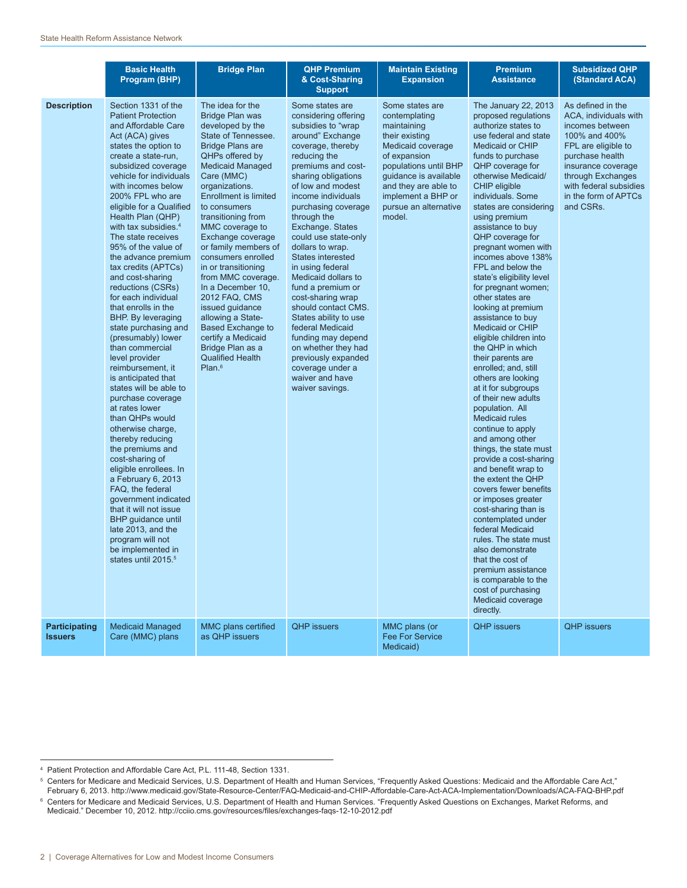|                                        | <b>Basic Health</b><br>Program (BHP)                                                                                                                                                                                                                                                                                                                                                                                                                                                                                                                                                                                                                                                                                                                                                                                                                                                                                                                                                                                                                                                | <b>Bridge Plan</b>                                                                                                                                                                                                                                                                                                                                                                                                                                                                                                                                                                                    | <b>QHP Premium</b><br>& Cost-Sharing<br><b>Support</b>                                                                                                                                                                                                                                                                                                                                                                                                                                                                                                                                                                                   | <b>Maintain Existing</b><br><b>Expansion</b>                                                                                                                                                                                              | <b>Premium</b><br><b>Assistance</b>                                                                                                                                                                                                                                                                                                                                                                                                                                                                                                                                                                                                                                                                                                                                                                                                                                                                                                                                                                                                                                                                                                                                           | <b>Subsidized QHP</b><br>(Standard ACA)                                                                                                                                                                                            |
|----------------------------------------|-------------------------------------------------------------------------------------------------------------------------------------------------------------------------------------------------------------------------------------------------------------------------------------------------------------------------------------------------------------------------------------------------------------------------------------------------------------------------------------------------------------------------------------------------------------------------------------------------------------------------------------------------------------------------------------------------------------------------------------------------------------------------------------------------------------------------------------------------------------------------------------------------------------------------------------------------------------------------------------------------------------------------------------------------------------------------------------|-------------------------------------------------------------------------------------------------------------------------------------------------------------------------------------------------------------------------------------------------------------------------------------------------------------------------------------------------------------------------------------------------------------------------------------------------------------------------------------------------------------------------------------------------------------------------------------------------------|------------------------------------------------------------------------------------------------------------------------------------------------------------------------------------------------------------------------------------------------------------------------------------------------------------------------------------------------------------------------------------------------------------------------------------------------------------------------------------------------------------------------------------------------------------------------------------------------------------------------------------------|-------------------------------------------------------------------------------------------------------------------------------------------------------------------------------------------------------------------------------------------|-------------------------------------------------------------------------------------------------------------------------------------------------------------------------------------------------------------------------------------------------------------------------------------------------------------------------------------------------------------------------------------------------------------------------------------------------------------------------------------------------------------------------------------------------------------------------------------------------------------------------------------------------------------------------------------------------------------------------------------------------------------------------------------------------------------------------------------------------------------------------------------------------------------------------------------------------------------------------------------------------------------------------------------------------------------------------------------------------------------------------------------------------------------------------------|------------------------------------------------------------------------------------------------------------------------------------------------------------------------------------------------------------------------------------|
| <b>Description</b>                     | Section 1331 of the<br><b>Patient Protection</b><br>and Affordable Care<br>Act (ACA) gives<br>states the option to<br>create a state-run,<br>subsidized coverage<br>vehicle for individuals<br>with incomes below<br>200% FPL who are<br>eligible for a Qualified<br>Health Plan (QHP)<br>with tax subsidies. <sup>4</sup><br>The state receives<br>95% of the value of<br>the advance premium<br>tax credits (APTCs)<br>and cost-sharing<br>reductions (CSRs)<br>for each individual<br>that enrolls in the<br>BHP. By leveraging<br>state purchasing and<br>(presumably) lower<br>than commercial<br>level provider<br>reimbursement, it<br>is anticipated that<br>states will be able to<br>purchase coverage<br>at rates lower<br>than QHPs would<br>otherwise charge,<br>thereby reducing<br>the premiums and<br>cost-sharing of<br>eligible enrollees. In<br>a February 6, 2013<br>FAQ, the federal<br>government indicated<br>that it will not issue<br>BHP guidance until<br>late 2013, and the<br>program will not<br>be implemented in<br>states until 2015. <sup>5</sup> | The idea for the<br>Bridge Plan was<br>developed by the<br>State of Tennessee.<br><b>Bridge Plans are</b><br>QHPs offered by<br><b>Medicaid Managed</b><br>Care (MMC)<br>organizations.<br><b>Enrollment is limited</b><br>to consumers<br>transitioning from<br>MMC coverage to<br>Exchange coverage<br>or family members of<br>consumers enrolled<br>in or transitioning<br>from MMC coverage.<br>In a December 10,<br>2012 FAQ, CMS<br>issued quidance<br>allowing a State-<br><b>Based Exchange to</b><br>certify a Medicaid<br>Bridge Plan as a<br><b>Qualified Health</b><br>Plan. <sup>6</sup> | Some states are<br>considering offering<br>subsidies to "wrap"<br>around" Exchange<br>coverage, thereby<br>reducing the<br>premiums and cost-<br>sharing obligations<br>of low and modest<br>income individuals<br>purchasing coverage<br>through the<br>Exchange. States<br>could use state-only<br>dollars to wrap.<br><b>States interested</b><br>in using federal<br>Medicaid dollars to<br>fund a premium or<br>cost-sharing wrap<br>should contact CMS.<br>States ability to use<br>federal Medicaid<br>funding may depend<br>on whether they had<br>previously expanded<br>coverage under a<br>waiver and have<br>waiver savings. | Some states are<br>contemplating<br>maintaining<br>their existing<br>Medicaid coverage<br>of expansion<br>populations until BHP<br>guidance is available<br>and they are able to<br>implement a BHP or<br>pursue an alternative<br>model. | The January 22, 2013<br>proposed regulations<br>authorize states to<br>use federal and state<br><b>Medicaid or CHIP</b><br>funds to purchase<br>QHP coverage for<br>otherwise Medicaid/<br>CHIP eligible<br>individuals. Some<br>states are considering<br>using premium<br>assistance to buy<br>QHP coverage for<br>pregnant women with<br>incomes above 138%<br>FPL and below the<br>state's eligibility level<br>for pregnant women;<br>other states are<br>looking at premium<br>assistance to buy<br><b>Medicaid or CHIP</b><br>eligible children into<br>the QHP in which<br>their parents are<br>enrolled; and, still<br>others are looking<br>at it for subgroups<br>of their new adults<br>population. All<br><b>Medicaid rules</b><br>continue to apply<br>and among other<br>things, the state must<br>provide a cost-sharing<br>and benefit wrap to<br>the extent the QHP<br>covers fewer benefits<br>or imposes greater<br>cost-sharing than is<br>contemplated under<br>federal Medicaid<br>rules. The state must<br>also demonstrate<br>that the cost of<br>premium assistance<br>is comparable to the<br>cost of purchasing<br>Medicaid coverage<br>directly. | As defined in the<br>ACA, individuals with<br>incomes between<br>100% and 400%<br>FPL are eligible to<br>purchase health<br>insurance coverage<br>through Exchanges<br>with federal subsidies<br>in the form of APTCs<br>and CSRs. |
| <b>Participating</b><br><b>Issuers</b> | <b>Medicaid Managed</b><br>Care (MMC) plans                                                                                                                                                                                                                                                                                                                                                                                                                                                                                                                                                                                                                                                                                                                                                                                                                                                                                                                                                                                                                                         | MMC plans certified<br>as QHP issuers                                                                                                                                                                                                                                                                                                                                                                                                                                                                                                                                                                 | <b>QHP</b> issuers                                                                                                                                                                                                                                                                                                                                                                                                                                                                                                                                                                                                                       | MMC plans (or<br><b>Fee For Service</b><br>Medicaid)                                                                                                                                                                                      | <b>QHP</b> issuers                                                                                                                                                                                                                                                                                                                                                                                                                                                                                                                                                                                                                                                                                                                                                                                                                                                                                                                                                                                                                                                                                                                                                            | <b>QHP</b> issuers                                                                                                                                                                                                                 |

5 Centers for Medicare and Medicaid Services, U.S. Department of Health and Human Services, "Frequently Asked Questions: Medicaid and the Affordable Care Act," February 6, 2013. http://www.medicaid.gov/State-Resource-Center/FAQ-Medicaid-and-CHIP-Affordable-Care-Act-ACA-Implementation/Downloads/ACA-FAQ-BHP.pdf

6 Centers for Medicare and Medicaid Services, U.S. Department of Health and Human Services. "Frequently Asked Questions on Exchanges, Market Reforms, and Medicaid." December 10, 2012. http://cciio.cms.gov/resources/files/exchanges-faqs-12-10-2012.pdf

<sup>4</sup> Patient Protection and Affordable Care Act, P.L. 111-48, Section 1331.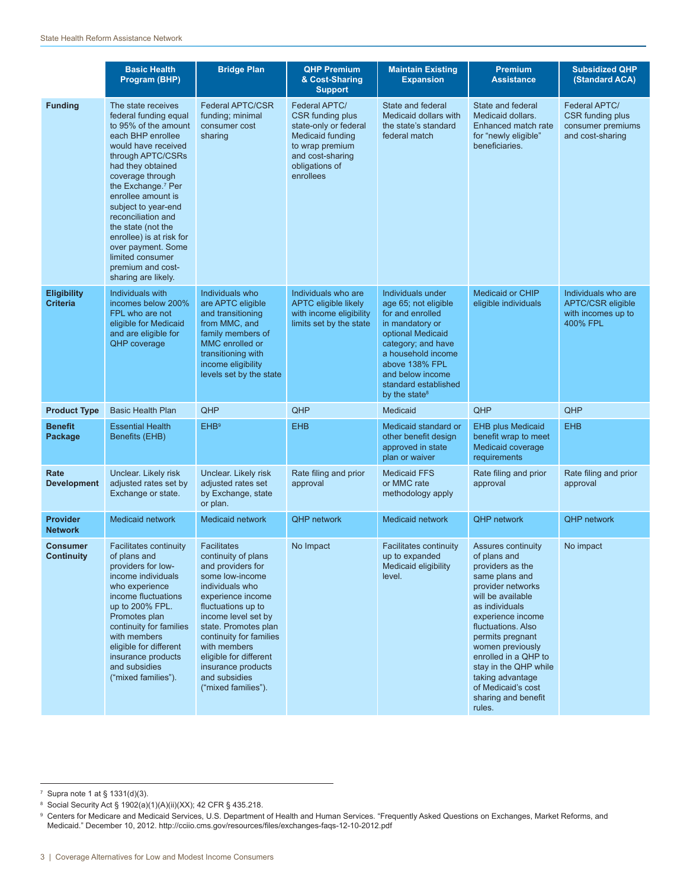|                                       | <b>Basic Health</b><br>Program (BHP)                                                                                                                                                                                                                                                                                                                                                                                       | <b>Bridge Plan</b>                                                                                                                                                                                                                                                                                                                | <b>QHP Premium</b><br>& Cost-Sharing<br><b>Support</b>                                                                                                      | <b>Maintain Existing</b><br><b>Expansion</b>                                                                                                                                                                                                 | <b>Premium</b><br><b>Assistance</b>                                                                                                                                                                                                                                                                                                                 | <b>Subsidized QHP</b><br>(Standard ACA)                                                  |
|---------------------------------------|----------------------------------------------------------------------------------------------------------------------------------------------------------------------------------------------------------------------------------------------------------------------------------------------------------------------------------------------------------------------------------------------------------------------------|-----------------------------------------------------------------------------------------------------------------------------------------------------------------------------------------------------------------------------------------------------------------------------------------------------------------------------------|-------------------------------------------------------------------------------------------------------------------------------------------------------------|----------------------------------------------------------------------------------------------------------------------------------------------------------------------------------------------------------------------------------------------|-----------------------------------------------------------------------------------------------------------------------------------------------------------------------------------------------------------------------------------------------------------------------------------------------------------------------------------------------------|------------------------------------------------------------------------------------------|
| <b>Funding</b>                        | The state receives<br>federal funding equal<br>to 95% of the amount<br>each BHP enrollee<br>would have received<br>through APTC/CSRs<br>had they obtained<br>coverage through<br>the Exchange. <sup>7</sup> Per<br>enrollee amount is<br>subject to year-end<br>reconciliation and<br>the state (not the<br>enrollee) is at risk for<br>over payment. Some<br>limited consumer<br>premium and cost-<br>sharing are likely. | <b>Federal APTC/CSR</b><br>funding; minimal<br>consumer cost<br>sharing                                                                                                                                                                                                                                                           | Federal APTC/<br>CSR funding plus<br>state-only or federal<br><b>Medicaid funding</b><br>to wrap premium<br>and cost-sharing<br>obligations of<br>enrollees | State and federal<br>Medicaid dollars with<br>the state's standard<br>federal match                                                                                                                                                          | State and federal<br>Medicaid dollars.<br>Enhanced match rate<br>for "newly eligible"<br>beneficiaries.                                                                                                                                                                                                                                             | <b>Federal APTC/</b><br><b>CSR</b> funding plus<br>consumer premiums<br>and cost-sharing |
| <b>Eligibility</b><br><b>Criteria</b> | Individuals with<br>incomes below 200%<br>FPL who are not<br>eligible for Medicaid<br>and are eligible for<br>QHP coverage                                                                                                                                                                                                                                                                                                 | Individuals who<br>are APTC eligible<br>and transitioning<br>from MMC, and<br>family members of<br>MMC enrolled or<br>transitioning with<br>income eligibility<br>levels set by the state                                                                                                                                         | Individuals who are<br><b>APTC eligible likely</b><br>with income eligibility<br>limits set by the state                                                    | Individuals under<br>age 65; not eligible<br>for and enrolled<br>in mandatory or<br>optional Medicaid<br>category; and have<br>a household income<br>above 138% FPL<br>and below income<br>standard established<br>by the state <sup>8</sup> | <b>Medicaid or CHIP</b><br>eligible individuals                                                                                                                                                                                                                                                                                                     | Individuals who are<br><b>APTC/CSR eligible</b><br>with incomes up to<br>400% FPL        |
| <b>Product Type</b>                   | <b>Basic Health Plan</b>                                                                                                                                                                                                                                                                                                                                                                                                   | QHP                                                                                                                                                                                                                                                                                                                               | QHP                                                                                                                                                         | Medicaid                                                                                                                                                                                                                                     | QHP                                                                                                                                                                                                                                                                                                                                                 | QHP                                                                                      |
| <b>Benefit</b><br>Package             | <b>Essential Health</b><br>Benefits (EHB)                                                                                                                                                                                                                                                                                                                                                                                  | <b>EHB</b> <sup>9</sup>                                                                                                                                                                                                                                                                                                           | <b>EHB</b>                                                                                                                                                  | Medicaid standard or<br>other benefit design<br>approved in state<br>plan or waiver                                                                                                                                                          | <b>EHB plus Medicaid</b><br>benefit wrap to meet<br>Medicaid coverage<br>requirements                                                                                                                                                                                                                                                               | <b>EHB</b>                                                                               |
| Rate<br><b>Development</b>            | Unclear. Likely risk<br>adjusted rates set by<br>Exchange or state.                                                                                                                                                                                                                                                                                                                                                        | Unclear. Likely risk<br>adjusted rates set<br>by Exchange, state<br>or plan.                                                                                                                                                                                                                                                      | Rate filing and prior<br>approval                                                                                                                           | <b>Medicaid FFS</b><br>or MMC rate<br>methodology apply                                                                                                                                                                                      | Rate filing and prior<br>approval                                                                                                                                                                                                                                                                                                                   | Rate filing and prior<br>approval                                                        |
| <b>Provider</b><br><b>Network</b>     | <b>Medicaid network</b>                                                                                                                                                                                                                                                                                                                                                                                                    | <b>Medicaid network</b>                                                                                                                                                                                                                                                                                                           | <b>QHP network</b>                                                                                                                                          | Medicaid network                                                                                                                                                                                                                             | <b>QHP</b> network                                                                                                                                                                                                                                                                                                                                  | <b>QHP network</b>                                                                       |
| Consumer<br>Continuity                | <b>Facilitates continuity</b><br>of plans and<br>providers for low-<br>income individuals<br>who experience<br>income fluctuations<br>up to 200% FPL.<br>Promotes plan<br>continuity for families<br>with members<br>eligible for different<br>insurance products<br>and subsidies<br>("mixed families").                                                                                                                  | <b>Facilitates</b><br>continuity of plans<br>and providers for<br>some low-income<br>individuals who<br>experience income<br>fluctuations up to<br>income level set by<br>state. Promotes plan<br>continuity for families<br>with members<br>eligible for different<br>insurance products<br>and subsidies<br>("mixed families"). | No Impact                                                                                                                                                   | <b>Facilitates continuity</b><br>up to expanded<br>Medicaid eligibility<br>level.                                                                                                                                                            | Assures continuity<br>of plans and<br>providers as the<br>same plans and<br>provider networks<br>will be available<br>as individuals<br>experience income<br>fluctuations. Also<br>permits pregnant<br>women previously<br>enrolled in a QHP to<br>stay in the QHP while<br>taking advantage<br>of Medicaid's cost<br>sharing and benefit<br>rules. | No impact                                                                                |

<sup>7</sup> Supra note 1 at § 1331(d)(3).

<sup>8</sup> Social Security Act § 1902(a)(1)(A)(ii)(XX); 42 CFR § 435.218.

<sup>9</sup> Centers for Medicare and Medicaid Services, U.S. Department of Health and Human Services. "Frequently Asked Questions on Exchanges, Market Reforms, and Medicaid." December 10, 2012. http://cciio.cms.gov/resources/files/exchanges-faqs-12-10-2012.pdf